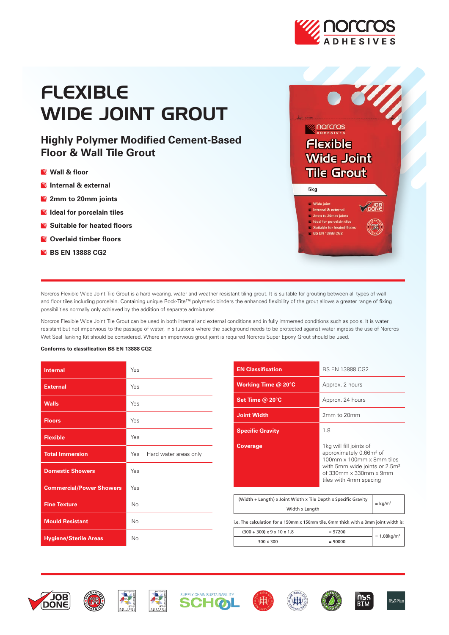

# FLEXIBLE WIDE JOINT GROUT

# **Highly Polymer Modified Cement-Based Floor & Wall Tile Grout**

- **Wall & floor**
- **Internal & external**
- **2mm to 20mm joints**
- **Ideal for porcelain tiles**
- **Suitable for heated floors**
- **Overlaid timber floors**
- **BS EN 13888 CG2**



Norcros Flexible Wide Joint Tile Grout is a hard wearing, water and weather resistant tiling grout. It is suitable for grouting between all types of wall and floor tiles including porcelain. Containing unique Rock-Tite™ polymeric binders the enhanced flexibility of the grout allows a greater range of fixing possibilities normally only achieved by the addition of separate admixtures.

Norcros Flexible Wide Joint Tile Grout can be used in both internal and external conditions and in fully immersed conditions such as pools. It is water resistant but not impervious to the passage of water, in situations where the background needs to be protected against water ingress the use of Norcros Wet Seal Tanking Kit should be considered. Where an impervious grout joint is required Norcros Super Epoxy Grout should be used.

#### **Conforms to classification BS EN 13888 CG2**

| <b>Internal</b>                 | Yes                          |
|---------------------------------|------------------------------|
| <b>External</b>                 | Yes                          |
| <b>Walls</b>                    | Yes                          |
| <b>Floors</b>                   | Yes                          |
| <b>Flexible</b>                 | Yes                          |
| <b>Total Immersion</b>          | Yes<br>Hard water areas only |
| <b>Domestic Showers</b>         | Yes                          |
| <b>Commercial/Power Showers</b> | Yes                          |
| <b>Fine Texture</b>             | No                           |
| <b>Mould Resistant</b>          | No                           |
| <b>Hygiene/Sterile Areas</b>    | No                           |

| <b>EN Classification</b>                                       | BS EN 13888 CG2                                                                                                                                                                              |                       |  |
|----------------------------------------------------------------|----------------------------------------------------------------------------------------------------------------------------------------------------------------------------------------------|-----------------------|--|
| Working Time @ 20°C                                            | Approx. 2 hours                                                                                                                                                                              |                       |  |
| Set Time $@$ 20 $°C$                                           | Approx. 24 hours                                                                                                                                                                             |                       |  |
| <b>Joint Width</b>                                             | 2mm to 20mm                                                                                                                                                                                  |                       |  |
| <b>Specific Gravity</b>                                        | 1.8                                                                                                                                                                                          |                       |  |
| <b>Coverage</b>                                                | 1kg will fill joints of<br>approximately 0.66m <sup>2</sup> of<br>100mm x 100mm x 8mm tiles<br>with 5mm wide joints or 2.5m <sup>2</sup><br>of 330mm x 330mm x 9mm<br>tiles with 4mm spacing |                       |  |
|                                                                |                                                                                                                                                                                              |                       |  |
| (Width + Length) x Joint Width x Tile Depth x Specific Gravity |                                                                                                                                                                                              | $=$ kg/m <sup>2</sup> |  |
| Width x Length                                                 |                                                                                                                                                                                              |                       |  |

i.e. The calculation for a 150mm x 150mm tile, 6mm thick with a 3mm joint width is:

| $(300 + 300) \times 9 \times 10 \times 1.8$ | $= 97200$ | $= 1.08 kg/m2$ |
|---------------------------------------------|-----------|----------------|
| $300 \times 300$                            | $= 90000$ |                |















RTM